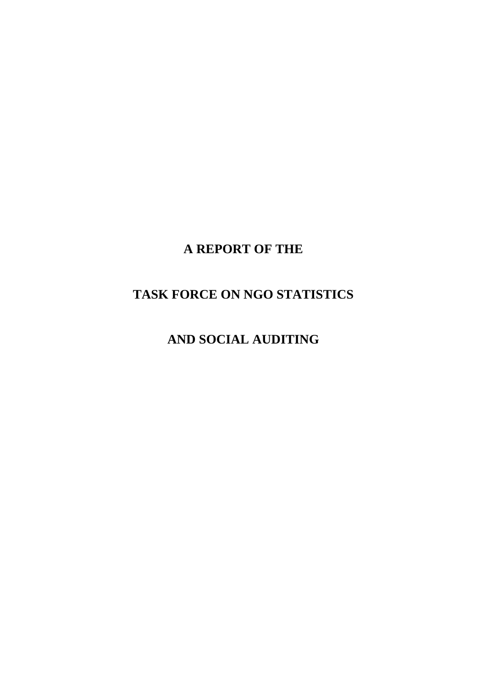# **A REPORT OF THE**

## **TASK FORCE ON NGO STATISTICS**

**AND SOCIAL AUDITING**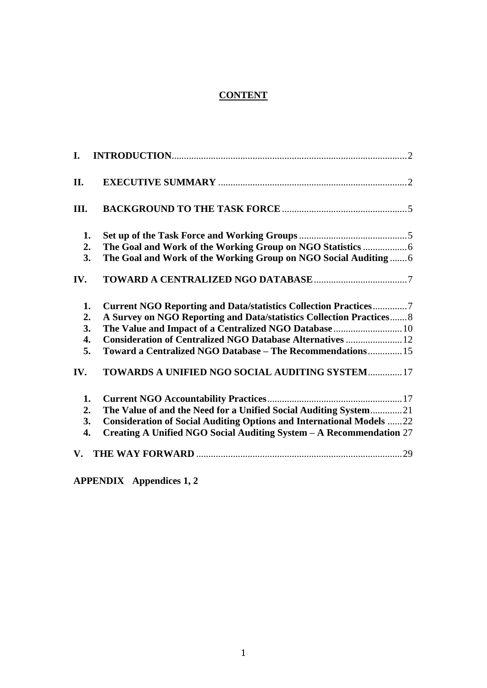## **CONTENT**

| I.               |                                                                             |
|------------------|-----------------------------------------------------------------------------|
| II.              |                                                                             |
| III.             |                                                                             |
| 1.               |                                                                             |
| 2.               |                                                                             |
| 3.               | The Goal and Work of the Working Group on NGO Social Auditing  6            |
| IV.              |                                                                             |
| 1.               | <b>Current NGO Reporting and Data/statistics Collection Practices7</b>      |
| 2.               | A Survey on NGO Reporting and Data/statistics Collection Practices 8        |
| 3.               | The Value and Impact of a Centralized NGO Database  10                      |
| 4.               | <b>Consideration of Centralized NGO Database Alternatives  12</b>           |
| 5.               | Toward a Centralized NGO Database - The Recommendations 15                  |
| IV.              | TOWARDS A UNIFIED NGO SOCIAL AUDITING SYSTEM 17                             |
| 1.               |                                                                             |
| 2.               | The Value of and the Need for a Unified Social Auditing System21            |
| 3.               | <b>Consideration of Social Auditing Options and International Models 22</b> |
| $\overline{4}$ . | Creating A Unified NGO Social Auditing System - A Recommendation 27         |
|                  |                                                                             |

**APPENDIX Appendices 1, 2**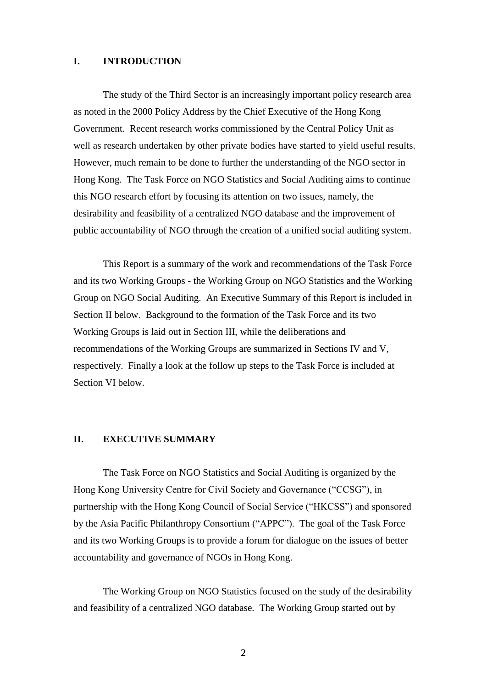## <span id="page-2-0"></span>**I. INTRODUCTION**

The study of the Third Sector is an increasingly important policy research area as noted in the 2000 Policy Address by the Chief Executive of the Hong Kong Government. Recent research works commissioned by the Central Policy Unit as well as research undertaken by other private bodies have started to yield useful results. However, much remain to be done to further the understanding of the NGO sector in Hong Kong. The Task Force on NGO Statistics and Social Auditing aims to continue this NGO research effort by focusing its attention on two issues, namely, the desirability and feasibility of a centralized NGO database and the improvement of public accountability of NGO through the creation of a unified social auditing system.

This Report is a summary of the work and recommendations of the Task Force and its two Working Groups - the Working Group on NGO Statistics and the Working Group on NGO Social Auditing. An Executive Summary of this Report is included in Section II below. Background to the formation of the Task Force and its two Working Groups is laid out in Section III, while the deliberations and recommendations of the Working Groups are summarized in Sections IV and V, respectively. Finally a look at the follow up steps to the Task Force is included at Section VI below.

#### <span id="page-2-1"></span>**II. EXECUTIVE SUMMARY**

The Task Force on NGO Statistics and Social Auditing is organized by the Hong Kong University Centre for Civil Society and Governance ("CCSG"), in partnership with the Hong Kong Council of Social Service ("HKCSS") and sponsored by the Asia Pacific Philanthropy Consortium ("APPC"). The goal of the Task Force and its two Working Groups is to provide a forum for dialogue on the issues of better accountability and governance of NGOs in Hong Kong.

The Working Group on NGO Statistics focused on the study of the desirability and feasibility of a centralized NGO database. The Working Group started out by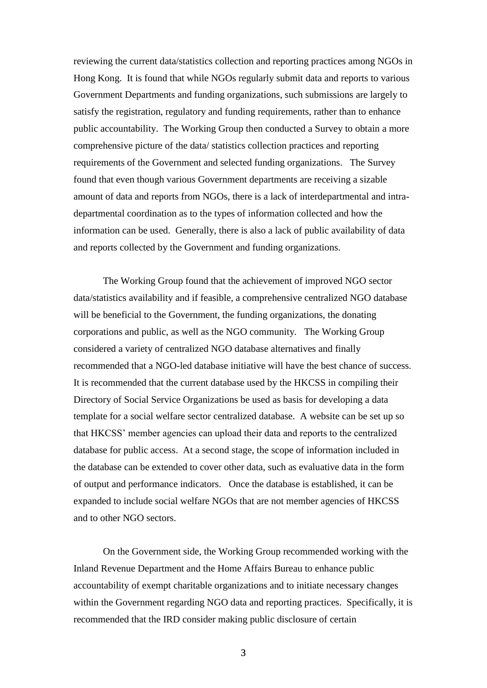reviewing the current data/statistics collection and reporting practices among NGOs in Hong Kong. It is found that while NGOs regularly submit data and reports to various Government Departments and funding organizations, such submissions are largely to satisfy the registration, regulatory and funding requirements, rather than to enhance public accountability. The Working Group then conducted a Survey to obtain a more comprehensive picture of the data/ statistics collection practices and reporting requirements of the Government and selected funding organizations. The Survey found that even though various Government departments are receiving a sizable amount of data and reports from NGOs, there is a lack of interdepartmental and intradepartmental coordination as to the types of information collected and how the information can be used. Generally, there is also a lack of public availability of data and reports collected by the Government and funding organizations.

The Working Group found that the achievement of improved NGO sector data/statistics availability and if feasible, a comprehensive centralized NGO database will be beneficial to the Government, the funding organizations, the donating corporations and public, as well as the NGO community. The Working Group considered a variety of centralized NGO database alternatives and finally recommended that a NGO-led database initiative will have the best chance of success. It is recommended that the current database used by the HKCSS in compiling their Directory of Social Service Organizations be used as basis for developing a data template for a social welfare sector centralized database. A website can be set up so that HKCSS' member agencies can upload their data and reports to the centralized database for public access. At a second stage, the scope of information included in the database can be extended to cover other data, such as evaluative data in the form of output and performance indicators. Once the database is established, it can be expanded to include social welfare NGOs that are not member agencies of HKCSS and to other NGO sectors.

On the Government side, the Working Group recommended working with the Inland Revenue Department and the Home Affairs Bureau to enhance public accountability of exempt charitable organizations and to initiate necessary changes within the Government regarding NGO data and reporting practices. Specifically, it is recommended that the IRD consider making public disclosure of certain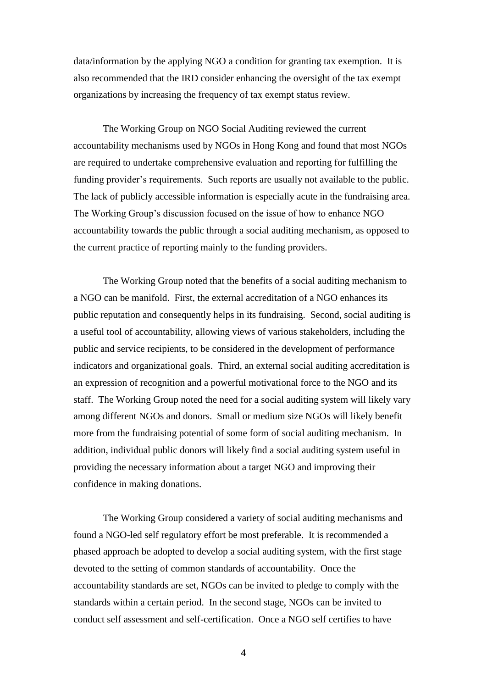data/information by the applying NGO a condition for granting tax exemption. It is also recommended that the IRD consider enhancing the oversight of the tax exempt organizations by increasing the frequency of tax exempt status review.

The Working Group on NGO Social Auditing reviewed the current accountability mechanisms used by NGOs in Hong Kong and found that most NGOs are required to undertake comprehensive evaluation and reporting for fulfilling the funding provider's requirements. Such reports are usually not available to the public. The lack of publicly accessible information is especially acute in the fundraising area. The Working Group's discussion focused on the issue of how to enhance NGO accountability towards the public through a social auditing mechanism, as opposed to the current practice of reporting mainly to the funding providers.

The Working Group noted that the benefits of a social auditing mechanism to a NGO can be manifold. First, the external accreditation of a NGO enhances its public reputation and consequently helps in its fundraising. Second, social auditing is a useful tool of accountability, allowing views of various stakeholders, including the public and service recipients, to be considered in the development of performance indicators and organizational goals. Third, an external social auditing accreditation is an expression of recognition and a powerful motivational force to the NGO and its staff. The Working Group noted the need for a social auditing system will likely vary among different NGOs and donors. Small or medium size NGOs will likely benefit more from the fundraising potential of some form of social auditing mechanism. In addition, individual public donors will likely find a social auditing system useful in providing the necessary information about a target NGO and improving their confidence in making donations.

The Working Group considered a variety of social auditing mechanisms and found a NGO-led self regulatory effort be most preferable. It is recommended a phased approach be adopted to develop a social auditing system, with the first stage devoted to the setting of common standards of accountability. Once the accountability standards are set, NGOs can be invited to pledge to comply with the standards within a certain period. In the second stage, NGOs can be invited to conduct self assessment and self-certification. Once a NGO self certifies to have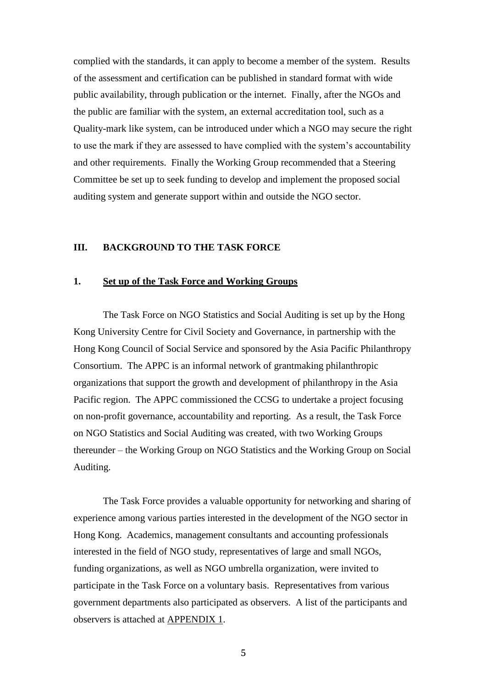complied with the standards, it can apply to become a member of the system. Results of the assessment and certification can be published in standard format with wide public availability, through publication or the internet. Finally, after the NGOs and the public are familiar with the system, an external accreditation tool, such as a Quality-mark like system, can be introduced under which a NGO may secure the right to use the mark if they are assessed to have complied with the system's accountability and other requirements. Finally the Working Group recommended that a Steering Committee be set up to seek funding to develop and implement the proposed social auditing system and generate support within and outside the NGO sector.

## <span id="page-5-0"></span>**III. BACKGROUND TO THE TASK FORCE**

#### <span id="page-5-1"></span>**1. Set up of the Task Force and Working Groups**

The Task Force on NGO Statistics and Social Auditing is set up by the Hong Kong University Centre for Civil Society and Governance, in partnership with the Hong Kong Council of Social Service and sponsored by the Asia Pacific Philanthropy Consortium. The APPC is an informal network of grantmaking philanthropic organizations that support the growth and development of philanthropy in the Asia Pacific region. The APPC commissioned the CCSG to undertake a project focusing on non-profit governance, accountability and reporting. As a result, the Task Force on NGO Statistics and Social Auditing was created, with two Working Groups thereunder – the Working Group on NGO Statistics and the Working Group on Social Auditing.

The Task Force provides a valuable opportunity for networking and sharing of experience among various parties interested in the development of the NGO sector in Hong Kong. Academics, management consultants and accounting professionals interested in the field of NGO study, representatives of large and small NGOs, funding organizations, as well as NGO umbrella organization, were invited to participate in the Task Force on a voluntary basis. Representatives from various government departments also participated as observers. A list of the participants and observers is attached at APPENDIX 1.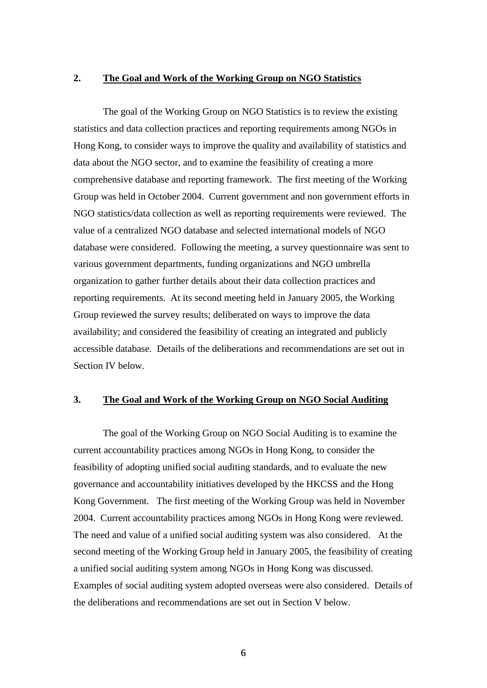## <span id="page-6-0"></span>**2. The Goal and Work of the Working Group on NGO Statistics**

The goal of the Working Group on NGO Statistics is to review the existing statistics and data collection practices and reporting requirements among NGOs in Hong Kong, to consider ways to improve the quality and availability of statistics and data about the NGO sector, and to examine the feasibility of creating a more comprehensive database and reporting framework. The first meeting of the Working Group was held in October 2004. Current government and non government efforts in NGO statistics/data collection as well as reporting requirements were reviewed. The value of a centralized NGO database and selected international models of NGO database were considered. Following the meeting, a survey questionnaire was sent to various government departments, funding organizations and NGO umbrella organization to gather further details about their data collection practices and reporting requirements. At its second meeting held in January 2005, the Working Group reviewed the survey results; deliberated on ways to improve the data availability; and considered the feasibility of creating an integrated and publicly accessible database. Details of the deliberations and recommendations are set out in Section IV below.

## <span id="page-6-1"></span>**3. The Goal and Work of the Working Group on NGO Social Auditing**

The goal of the Working Group on NGO Social Auditing is to examine the current accountability practices among NGOs in Hong Kong, to consider the feasibility of adopting unified social auditing standards, and to evaluate the new governance and accountability initiatives developed by the HKCSS and the Hong Kong Government. The first meeting of the Working Group was held in November 2004. Current accountability practices among NGOs in Hong Kong were reviewed. The need and value of a unified social auditing system was also considered. At the second meeting of the Working Group held in January 2005, the feasibility of creating a unified social auditing system among NGOs in Hong Kong was discussed. Examples of social auditing system adopted overseas were also considered. Details of the deliberations and recommendations are set out in Section V below.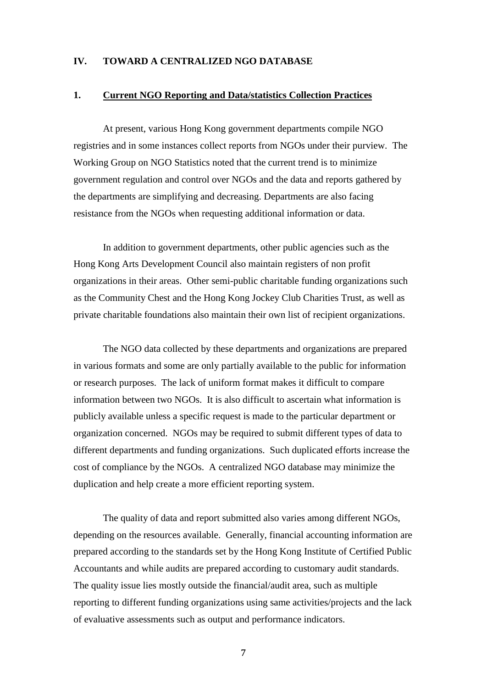## <span id="page-7-0"></span>**IV. TOWARD A CENTRALIZED NGO DATABASE**

### <span id="page-7-1"></span>**1. Current NGO Reporting and Data/statistics Collection Practices**

At present, various Hong Kong government departments compile NGO registries and in some instances collect reports from NGOs under their purview. The Working Group on NGO Statistics noted that the current trend is to minimize government regulation and control over NGOs and the data and reports gathered by the departments are simplifying and decreasing. Departments are also facing resistance from the NGOs when requesting additional information or data.

In addition to government departments, other public agencies such as the Hong Kong Arts Development Council also maintain registers of non profit organizations in their areas. Other semi-public charitable funding organizations such as the Community Chest and the Hong Kong Jockey Club Charities Trust, as well as private charitable foundations also maintain their own list of recipient organizations.

The NGO data collected by these departments and organizations are prepared in various formats and some are only partially available to the public for information or research purposes. The lack of uniform format makes it difficult to compare information between two NGOs. It is also difficult to ascertain what information is publicly available unless a specific request is made to the particular department or organization concerned. NGOs may be required to submit different types of data to different departments and funding organizations. Such duplicated efforts increase the cost of compliance by the NGOs. A centralized NGO database may minimize the duplication and help create a more efficient reporting system.

The quality of data and report submitted also varies among different NGOs, depending on the resources available. Generally, financial accounting information are prepared according to the standards set by the Hong Kong Institute of Certified Public Accountants and while audits are prepared according to customary audit standards. The quality issue lies mostly outside the financial/audit area, such as multiple reporting to different funding organizations using same activities/projects and the lack of evaluative assessments such as output and performance indicators.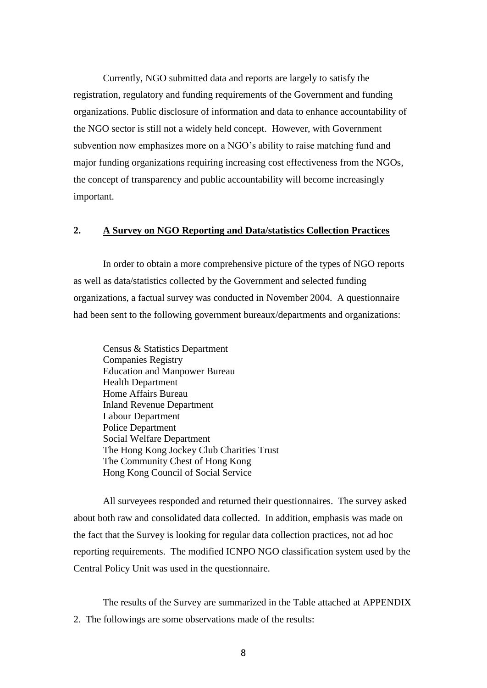Currently, NGO submitted data and reports are largely to satisfy the registration, regulatory and funding requirements of the Government and funding organizations. Public disclosure of information and data to enhance accountability of the NGO sector is still not a widely held concept. However, with Government subvention now emphasizes more on a NGO's ability to raise matching fund and major funding organizations requiring increasing cost effectiveness from the NGOs, the concept of transparency and public accountability will become increasingly important.

## <span id="page-8-0"></span>**2. A Survey on NGO Reporting and Data/statistics Collection Practices**

In order to obtain a more comprehensive picture of the types of NGO reports as well as data/statistics collected by the Government and selected funding organizations, a factual survey was conducted in November 2004. A questionnaire had been sent to the following government bureaux/departments and organizations:

Census & Statistics Department Companies Registry Education and Manpower Bureau Health Department Home Affairs Bureau Inland Revenue Department Labour Department Police Department Social Welfare Department The Hong Kong Jockey Club Charities Trust The Community Chest of Hong Kong Hong Kong Council of Social Service

All surveyees responded and returned their questionnaires. The survey asked about both raw and consolidated data collected. In addition, emphasis was made on the fact that the Survey is looking for regular data collection practices, not ad hoc reporting requirements. The modified ICNPO NGO classification system used by the Central Policy Unit was used in the questionnaire.

The results of the Survey are summarized in the Table attached at APPENDIX 2. The followings are some observations made of the results: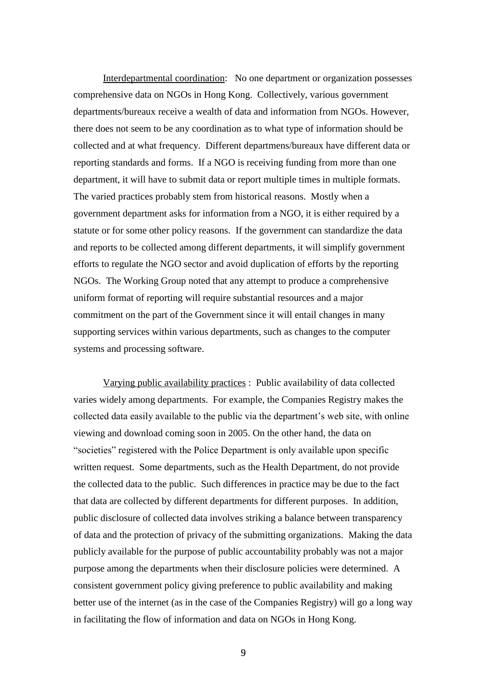Interdepartmental coordination: No one department or organization possesses comprehensive data on NGOs in Hong Kong. Collectively, various government departments/bureaux receive a wealth of data and information from NGOs. However, there does not seem to be any coordination as to what type of information should be collected and at what frequency. Different departmens/bureaux have different data or reporting standards and forms. If a NGO is receiving funding from more than one department, it will have to submit data or report multiple times in multiple formats. The varied practices probably stem from historical reasons. Mostly when a government department asks for information from a NGO, it is either required by a statute or for some other policy reasons. If the government can standardize the data and reports to be collected among different departments, it will simplify government efforts to regulate the NGO sector and avoid duplication of efforts by the reporting NGOs. The Working Group noted that any attempt to produce a comprehensive uniform format of reporting will require substantial resources and a major commitment on the part of the Government since it will entail changes in many supporting services within various departments, such as changes to the computer systems and processing software.

Varying public availability practices : Public availability of data collected varies widely among departments. For example, the Companies Registry makes the collected data easily available to the public via the department's web site, with online viewing and download coming soon in 2005. On the other hand, the data on "societies" registered with the Police Department is only available upon specific written request. Some departments, such as the Health Department, do not provide the collected data to the public. Such differences in practice may be due to the fact that data are collected by different departments for different purposes. In addition, public disclosure of collected data involves striking a balance between transparency of data and the protection of privacy of the submitting organizations. Making the data publicly available for the purpose of public accountability probably was not a major purpose among the departments when their disclosure policies were determined. A consistent government policy giving preference to public availability and making better use of the internet (as in the case of the Companies Registry) will go a long way in facilitating the flow of information and data on NGOs in Hong Kong.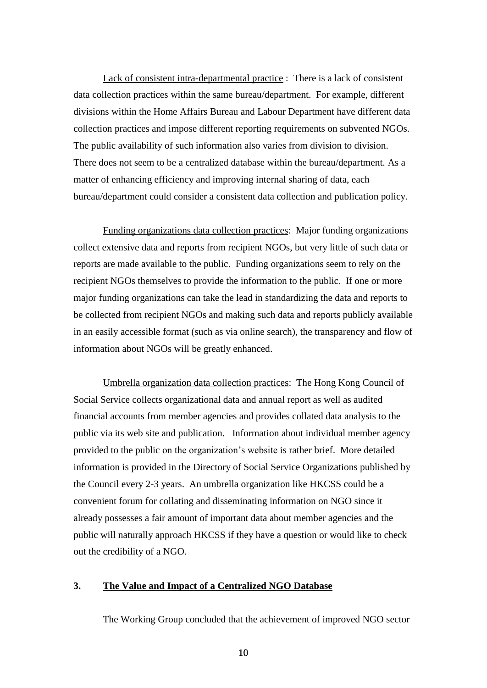Lack of consistent intra-departmental practice : There is a lack of consistent data collection practices within the same bureau/department. For example, different divisions within the Home Affairs Bureau and Labour Department have different data collection practices and impose different reporting requirements on subvented NGOs. The public availability of such information also varies from division to division. There does not seem to be a centralized database within the bureau/department. As a matter of enhancing efficiency and improving internal sharing of data, each bureau/department could consider a consistent data collection and publication policy.

Funding organizations data collection practices: Major funding organizations collect extensive data and reports from recipient NGOs, but very little of such data or reports are made available to the public. Funding organizations seem to rely on the recipient NGOs themselves to provide the information to the public. If one or more major funding organizations can take the lead in standardizing the data and reports to be collected from recipient NGOs and making such data and reports publicly available in an easily accessible format (such as via online search), the transparency and flow of information about NGOs will be greatly enhanced.

Umbrella organization data collection practices: The Hong Kong Council of Social Service collects organizational data and annual report as well as audited financial accounts from member agencies and provides collated data analysis to the public via its web site and publication. Information about individual member agency provided to the public on the organization's website is rather brief. More detailed information is provided in the Directory of Social Service Organizations published by the Council every 2-3 years. An umbrella organization like HKCSS could be a convenient forum for collating and disseminating information on NGO since it already possesses a fair amount of important data about member agencies and the public will naturally approach HKCSS if they have a question or would like to check out the credibility of a NGO.

## <span id="page-10-0"></span>**3. The Value and Impact of a Centralized NGO Database**

The Working Group concluded that the achievement of improved NGO sector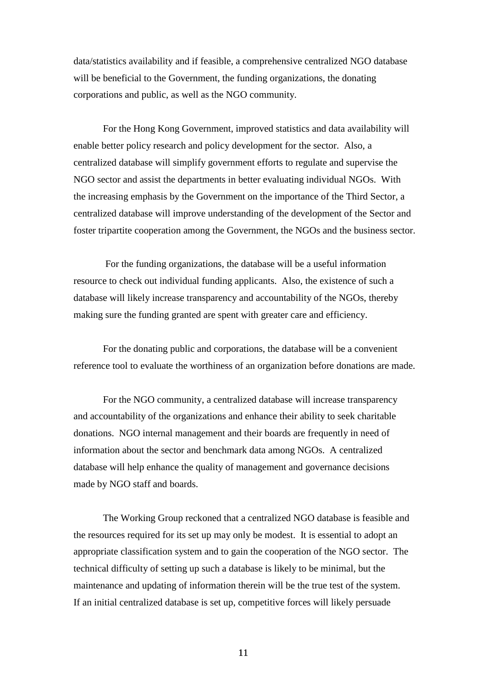data/statistics availability and if feasible, a comprehensive centralized NGO database will be beneficial to the Government, the funding organizations, the donating corporations and public, as well as the NGO community.

For the Hong Kong Government, improved statistics and data availability will enable better policy research and policy development for the sector. Also, a centralized database will simplify government efforts to regulate and supervise the NGO sector and assist the departments in better evaluating individual NGOs. With the increasing emphasis by the Government on the importance of the Third Sector, a centralized database will improve understanding of the development of the Sector and foster tripartite cooperation among the Government, the NGOs and the business sector.

For the funding organizations, the database will be a useful information resource to check out individual funding applicants. Also, the existence of such a database will likely increase transparency and accountability of the NGOs, thereby making sure the funding granted are spent with greater care and efficiency.

For the donating public and corporations, the database will be a convenient reference tool to evaluate the worthiness of an organization before donations are made.

For the NGO community, a centralized database will increase transparency and accountability of the organizations and enhance their ability to seek charitable donations. NGO internal management and their boards are frequently in need of information about the sector and benchmark data among NGOs. A centralized database will help enhance the quality of management and governance decisions made by NGO staff and boards.

The Working Group reckoned that a centralized NGO database is feasible and the resources required for its set up may only be modest. It is essential to adopt an appropriate classification system and to gain the cooperation of the NGO sector. The technical difficulty of setting up such a database is likely to be minimal, but the maintenance and updating of information therein will be the true test of the system. If an initial centralized database is set up, competitive forces will likely persuade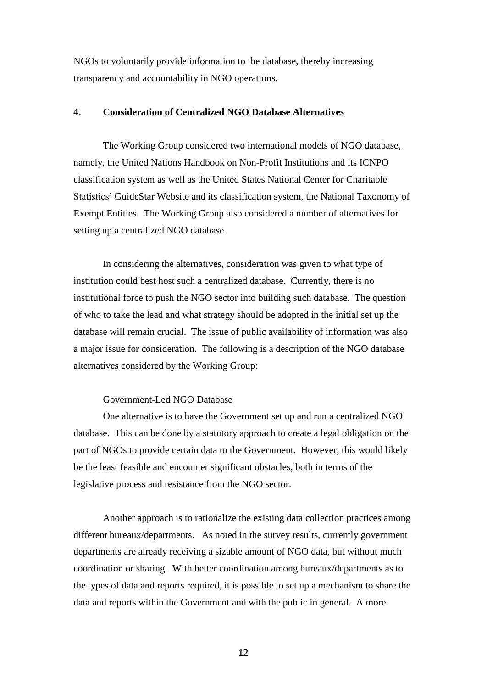NGOs to voluntarily provide information to the database, thereby increasing transparency and accountability in NGO operations.

## <span id="page-12-0"></span>**4. Consideration of Centralized NGO Database Alternatives**

The Working Group considered two international models of NGO database, namely, the United Nations Handbook on Non-Profit Institutions and its ICNPO classification system as well as the United States National Center for Charitable Statistics' GuideStar Website and its classification system, the National Taxonomy of Exempt Entities. The Working Group also considered a number of alternatives for setting up a centralized NGO database.

In considering the alternatives, consideration was given to what type of institution could best host such a centralized database. Currently, there is no institutional force to push the NGO sector into building such database. The question of who to take the lead and what strategy should be adopted in the initial set up the database will remain crucial. The issue of public availability of information was also a major issue for consideration. The following is a description of the NGO database alternatives considered by the Working Group:

### Government-Led NGO Database

One alternative is to have the Government set up and run a centralized NGO database. This can be done by a statutory approach to create a legal obligation on the part of NGOs to provide certain data to the Government. However, this would likely be the least feasible and encounter significant obstacles, both in terms of the legislative process and resistance from the NGO sector.

Another approach is to rationalize the existing data collection practices among different bureaux/departments. As noted in the survey results, currently government departments are already receiving a sizable amount of NGO data, but without much coordination or sharing. With better coordination among bureaux/departments as to the types of data and reports required, it is possible to set up a mechanism to share the data and reports within the Government and with the public in general. A more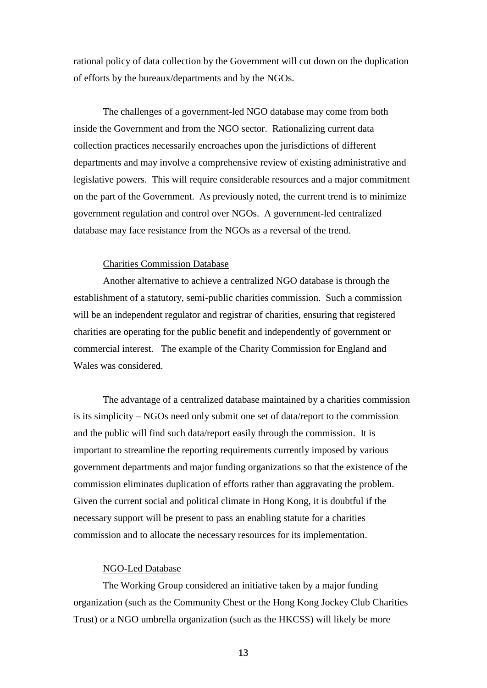rational policy of data collection by the Government will cut down on the duplication of efforts by the bureaux/departments and by the NGOs.

The challenges of a government-led NGO database may come from both inside the Government and from the NGO sector. Rationalizing current data collection practices necessarily encroaches upon the jurisdictions of different departments and may involve a comprehensive review of existing administrative and legislative powers. This will require considerable resources and a major commitment on the part of the Government. As previously noted, the current trend is to minimize government regulation and control over NGOs. A government-led centralized database may face resistance from the NGOs as a reversal of the trend.

#### Charities Commission Database

Another alternative to achieve a centralized NGO database is through the establishment of a statutory, semi-public charities commission. Such a commission will be an independent regulator and registrar of charities, ensuring that registered charities are operating for the public benefit and independently of government or commercial interest. The example of the Charity Commission for England and Wales was considered.

The advantage of a centralized database maintained by a charities commission is its simplicity – NGOs need only submit one set of data/report to the commission and the public will find such data/report easily through the commission. It is important to streamline the reporting requirements currently imposed by various government departments and major funding organizations so that the existence of the commission eliminates duplication of efforts rather than aggravating the problem. Given the current social and political climate in Hong Kong, it is doubtful if the necessary support will be present to pass an enabling statute for a charities commission and to allocate the necessary resources for its implementation.

#### NGO-Led Database

The Working Group considered an initiative taken by a major funding organization (such as the Community Chest or the Hong Kong Jockey Club Charities Trust) or a NGO umbrella organization (such as the HKCSS) will likely be more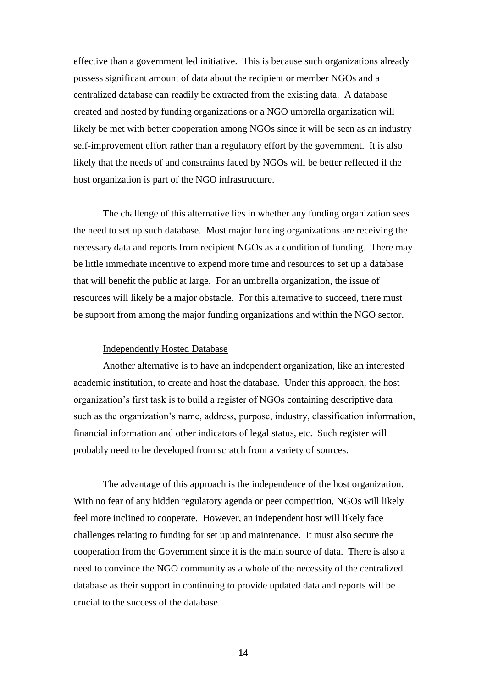effective than a government led initiative. This is because such organizations already possess significant amount of data about the recipient or member NGOs and a centralized database can readily be extracted from the existing data. A database created and hosted by funding organizations or a NGO umbrella organization will likely be met with better cooperation among NGOs since it will be seen as an industry self-improvement effort rather than a regulatory effort by the government. It is also likely that the needs of and constraints faced by NGOs will be better reflected if the host organization is part of the NGO infrastructure.

The challenge of this alternative lies in whether any funding organization sees the need to set up such database. Most major funding organizations are receiving the necessary data and reports from recipient NGOs as a condition of funding. There may be little immediate incentive to expend more time and resources to set up a database that will benefit the public at large. For an umbrella organization, the issue of resources will likely be a major obstacle. For this alternative to succeed, there must be support from among the major funding organizations and within the NGO sector.

#### Independently Hosted Database

Another alternative is to have an independent organization, like an interested academic institution, to create and host the database. Under this approach, the host organization's first task is to build a register of NGOs containing descriptive data such as the organization's name, address, purpose, industry, classification information, financial information and other indicators of legal status, etc. Such register will probably need to be developed from scratch from a variety of sources.

The advantage of this approach is the independence of the host organization. With no fear of any hidden regulatory agenda or peer competition, NGOs will likely feel more inclined to cooperate. However, an independent host will likely face challenges relating to funding for set up and maintenance. It must also secure the cooperation from the Government since it is the main source of data. There is also a need to convince the NGO community as a whole of the necessity of the centralized database as their support in continuing to provide updated data and reports will be crucial to the success of the database.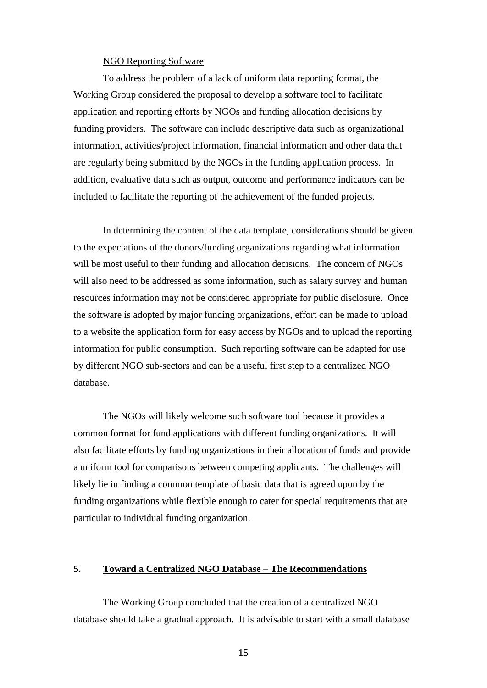#### NGO Reporting Software

To address the problem of a lack of uniform data reporting format, the Working Group considered the proposal to develop a software tool to facilitate application and reporting efforts by NGOs and funding allocation decisions by funding providers. The software can include descriptive data such as organizational information, activities/project information, financial information and other data that are regularly being submitted by the NGOs in the funding application process. In addition, evaluative data such as output, outcome and performance indicators can be included to facilitate the reporting of the achievement of the funded projects.

In determining the content of the data template, considerations should be given to the expectations of the donors/funding organizations regarding what information will be most useful to their funding and allocation decisions. The concern of NGOs will also need to be addressed as some information, such as salary survey and human resources information may not be considered appropriate for public disclosure. Once the software is adopted by major funding organizations, effort can be made to upload to a website the application form for easy access by NGOs and to upload the reporting information for public consumption. Such reporting software can be adapted for use by different NGO sub-sectors and can be a useful first step to a centralized NGO database.

The NGOs will likely welcome such software tool because it provides a common format for fund applications with different funding organizations. It will also facilitate efforts by funding organizations in their allocation of funds and provide a uniform tool for comparisons between competing applicants. The challenges will likely lie in finding a common template of basic data that is agreed upon by the funding organizations while flexible enough to cater for special requirements that are particular to individual funding organization.

## <span id="page-15-0"></span>**5. Toward a Centralized NGO Database – The Recommendations**

The Working Group concluded that the creation of a centralized NGO database should take a gradual approach. It is advisable to start with a small database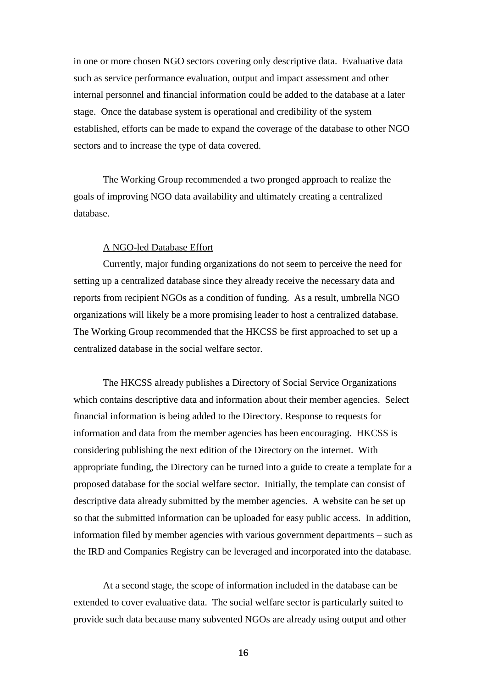in one or more chosen NGO sectors covering only descriptive data. Evaluative data such as service performance evaluation, output and impact assessment and other internal personnel and financial information could be added to the database at a later stage. Once the database system is operational and credibility of the system established, efforts can be made to expand the coverage of the database to other NGO sectors and to increase the type of data covered.

The Working Group recommended a two pronged approach to realize the goals of improving NGO data availability and ultimately creating a centralized database.

#### A NGO-led Database Effort

Currently, major funding organizations do not seem to perceive the need for setting up a centralized database since they already receive the necessary data and reports from recipient NGOs as a condition of funding. As a result, umbrella NGO organizations will likely be a more promising leader to host a centralized database. The Working Group recommended that the HKCSS be first approached to set up a centralized database in the social welfare sector.

The HKCSS already publishes a Directory of Social Service Organizations which contains descriptive data and information about their member agencies. Select financial information is being added to the Directory. Response to requests for information and data from the member agencies has been encouraging. HKCSS is considering publishing the next edition of the Directory on the internet. With appropriate funding, the Directory can be turned into a guide to create a template for a proposed database for the social welfare sector. Initially, the template can consist of descriptive data already submitted by the member agencies. A website can be set up so that the submitted information can be uploaded for easy public access. In addition, information filed by member agencies with various government departments – such as the IRD and Companies Registry can be leveraged and incorporated into the database.

At a second stage, the scope of information included in the database can be extended to cover evaluative data. The social welfare sector is particularly suited to provide such data because many subvented NGOs are already using output and other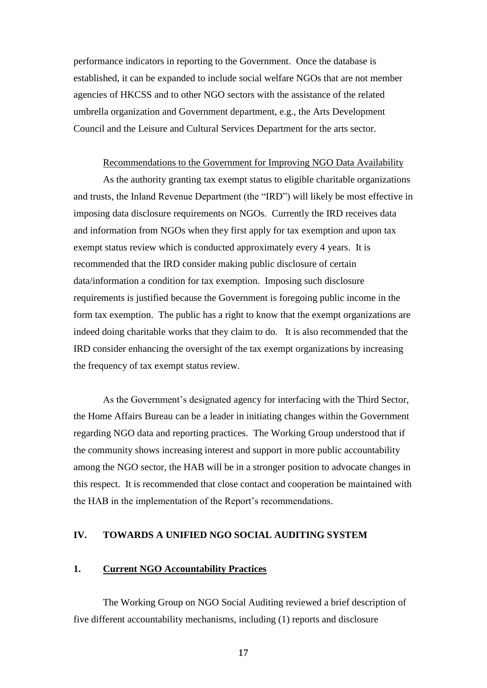performance indicators in reporting to the Government. Once the database is established, it can be expanded to include social welfare NGOs that are not member agencies of HKCSS and to other NGO sectors with the assistance of the related umbrella organization and Government department, e.g., the Arts Development Council and the Leisure and Cultural Services Department for the arts sector.

#### Recommendations to the Government for Improving NGO Data Availability

As the authority granting tax exempt status to eligible charitable organizations and trusts, the Inland Revenue Department (the "IRD") will likely be most effective in imposing data disclosure requirements on NGOs. Currently the IRD receives data and information from NGOs when they first apply for tax exemption and upon tax exempt status review which is conducted approximately every 4 years. It is recommended that the IRD consider making public disclosure of certain data/information a condition for tax exemption. Imposing such disclosure requirements is justified because the Government is foregoing public income in the form tax exemption. The public has a right to know that the exempt organizations are indeed doing charitable works that they claim to do. It is also recommended that the IRD consider enhancing the oversight of the tax exempt organizations by increasing the frequency of tax exempt status review.

As the Government's designated agency for interfacing with the Third Sector, the Home Affairs Bureau can be a leader in initiating changes within the Government regarding NGO data and reporting practices. The Working Group understood that if the community shows increasing interest and support in more public accountability among the NGO sector, the HAB will be in a stronger position to advocate changes in this respect. It is recommended that close contact and cooperation be maintained with the HAB in the implementation of the Report's recommendations.

## <span id="page-17-0"></span>**IV. TOWARDS A UNIFIED NGO SOCIAL AUDITING SYSTEM**

### <span id="page-17-1"></span>**1. Current NGO Accountability Practices**

The Working Group on NGO Social Auditing reviewed a brief description of five different accountability mechanisms, including (1) reports and disclosure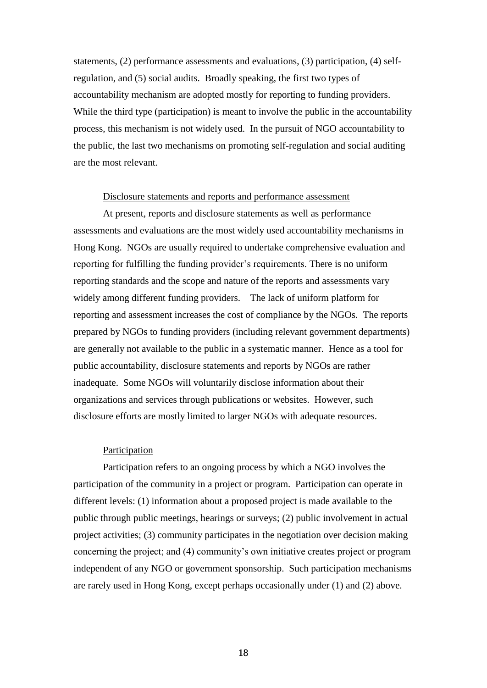statements, (2) performance assessments and evaluations, (3) participation, (4) selfregulation, and (5) social audits. Broadly speaking, the first two types of accountability mechanism are adopted mostly for reporting to funding providers. While the third type (participation) is meant to involve the public in the accountability process, this mechanism is not widely used. In the pursuit of NGO accountability to the public, the last two mechanisms on promoting self-regulation and social auditing are the most relevant.

#### Disclosure statements and reports and performance assessment

At present, reports and disclosure statements as well as performance assessments and evaluations are the most widely used accountability mechanisms in Hong Kong. NGOs are usually required to undertake comprehensive evaluation and reporting for fulfilling the funding provider's requirements. There is no uniform reporting standards and the scope and nature of the reports and assessments vary widely among different funding providers. The lack of uniform platform for reporting and assessment increases the cost of compliance by the NGOs. The reports prepared by NGOs to funding providers (including relevant government departments) are generally not available to the public in a systematic manner. Hence as a tool for public accountability, disclosure statements and reports by NGOs are rather inadequate. Some NGOs will voluntarily disclose information about their organizations and services through publications or websites. However, such disclosure efforts are mostly limited to larger NGOs with adequate resources.

#### Participation

Participation refers to an ongoing process by which a NGO involves the participation of the community in a project or program. Participation can operate in different levels: (1) information about a proposed project is made available to the public through public meetings, hearings or surveys; (2) public involvement in actual project activities; (3) community participates in the negotiation over decision making concerning the project; and (4) community's own initiative creates project or program independent of any NGO or government sponsorship. Such participation mechanisms are rarely used in Hong Kong, except perhaps occasionally under (1) and (2) above.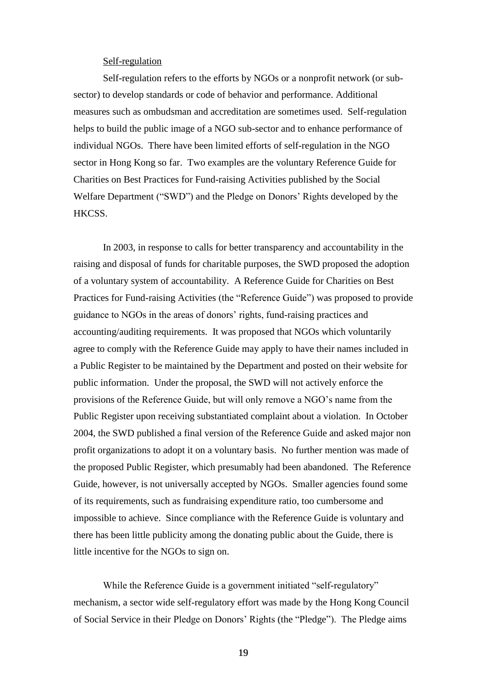## Self-regulation

Self-regulation refers to the efforts by NGOs or a nonprofit network (or subsector) to develop standards or code of behavior and performance. Additional measures such as ombudsman and accreditation are sometimes used. Self-regulation helps to build the public image of a NGO sub-sector and to enhance performance of individual NGOs. There have been limited efforts of self-regulation in the NGO sector in Hong Kong so far. Two examples are the voluntary Reference Guide for Charities on Best Practices for Fund-raising Activities published by the Social Welfare Department ("SWD") and the Pledge on Donors' Rights developed by the HKCSS.

In 2003, in response to calls for better transparency and accountability in the raising and disposal of funds for charitable purposes, the SWD proposed the adoption of a voluntary system of accountability. A Reference Guide for Charities on Best Practices for Fund-raising Activities (the "Reference Guide") was proposed to provide guidance to NGOs in the areas of donors' rights, fund-raising practices and accounting/auditing requirements. It was proposed that NGOs which voluntarily agree to comply with the Reference Guide may apply to have their names included in a Public Register to be maintained by the Department and posted on their website for public information. Under the proposal, the SWD will not actively enforce the provisions of the Reference Guide, but will only remove a NGO's name from the Public Register upon receiving substantiated complaint about a violation. In October 2004, the SWD published a final version of the Reference Guide and asked major non profit organizations to adopt it on a voluntary basis. No further mention was made of the proposed Public Register, which presumably had been abandoned. The Reference Guide, however, is not universally accepted by NGOs. Smaller agencies found some of its requirements, such as fundraising expenditure ratio, too cumbersome and impossible to achieve. Since compliance with the Reference Guide is voluntary and there has been little publicity among the donating public about the Guide, there is little incentive for the NGOs to sign on.

While the Reference Guide is a government initiated "self-regulatory" mechanism, a sector wide self-regulatory effort was made by the Hong Kong Council of Social Service in their Pledge on Donors' Rights (the "Pledge"). The Pledge aims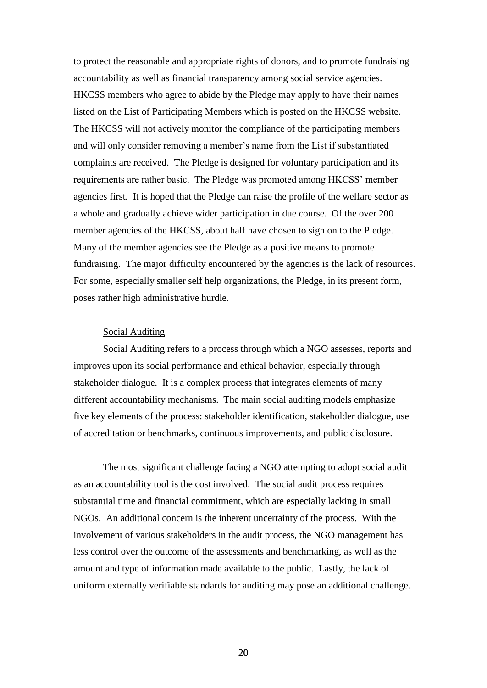to protect the reasonable and appropriate rights of donors, and to promote fundraising accountability as well as financial transparency among social service agencies. HKCSS members who agree to abide by the Pledge may apply to have their names listed on the List of Participating Members which is posted on the HKCSS website. The HKCSS will not actively monitor the compliance of the participating members and will only consider removing a member's name from the List if substantiated complaints are received. The Pledge is designed for voluntary participation and its requirements are rather basic. The Pledge was promoted among HKCSS' member agencies first. It is hoped that the Pledge can raise the profile of the welfare sector as a whole and gradually achieve wider participation in due course. Of the over 200 member agencies of the HKCSS, about half have chosen to sign on to the Pledge. Many of the member agencies see the Pledge as a positive means to promote fundraising. The major difficulty encountered by the agencies is the lack of resources. For some, especially smaller self help organizations, the Pledge, in its present form, poses rather high administrative hurdle.

#### Social Auditing

Social Auditing refers to a process through which a NGO assesses, reports and improves upon its social performance and ethical behavior, especially through stakeholder dialogue. It is a complex process that integrates elements of many different accountability mechanisms. The main social auditing models emphasize five key elements of the process: stakeholder identification, stakeholder dialogue, use of accreditation or benchmarks, continuous improvements, and public disclosure.

The most significant challenge facing a NGO attempting to adopt social audit as an accountability tool is the cost involved. The social audit process requires substantial time and financial commitment, which are especially lacking in small NGOs. An additional concern is the inherent uncertainty of the process. With the involvement of various stakeholders in the audit process, the NGO management has less control over the outcome of the assessments and benchmarking, as well as the amount and type of information made available to the public. Lastly, the lack of uniform externally verifiable standards for auditing may pose an additional challenge.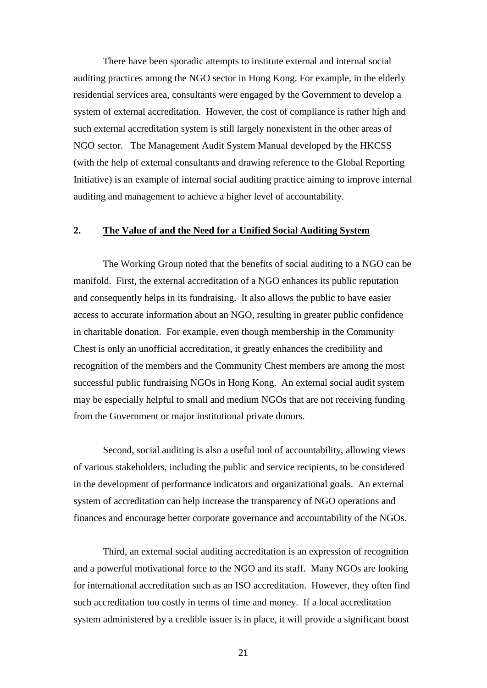There have been sporadic attempts to institute external and internal social auditing practices among the NGO sector in Hong Kong. For example, in the elderly residential services area, consultants were engaged by the Government to develop a system of external accreditation. However, the cost of compliance is rather high and such external accreditation system is still largely nonexistent in the other areas of NGO sector. The Management Audit System Manual developed by the HKCSS (with the help of external consultants and drawing reference to the Global Reporting Initiative) is an example of internal social auditing practice aiming to improve internal auditing and management to achieve a higher level of accountability.

## <span id="page-21-0"></span>**2. The Value of and the Need for a Unified Social Auditing System**

The Working Group noted that the benefits of social auditing to a NGO can be manifold. First, the external accreditation of a NGO enhances its public reputation and consequently helps in its fundraising. It also allows the public to have easier access to accurate information about an NGO, resulting in greater public confidence in charitable donation. For example, even though membership in the Community Chest is only an unofficial accreditation, it greatly enhances the credibility and recognition of the members and the Community Chest members are among the most successful public fundraising NGOs in Hong Kong. An external social audit system may be especially helpful to small and medium NGOs that are not receiving funding from the Government or major institutional private donors.

Second, social auditing is also a useful tool of accountability, allowing views of various stakeholders, including the public and service recipients, to be considered in the development of performance indicators and organizational goals. An external system of accreditation can help increase the transparency of NGO operations and finances and encourage better corporate governance and accountability of the NGOs.

Third, an external social auditing accreditation is an expression of recognition and a powerful motivational force to the NGO and its staff. Many NGOs are looking for international accreditation such as an ISO accreditation. However, they often find such accreditation too costly in terms of time and money. If a local accreditation system administered by a credible issuer is in place, it will provide a significant boost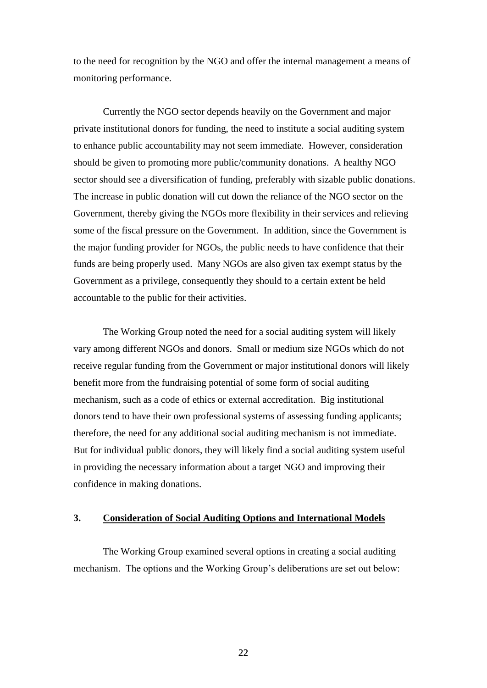to the need for recognition by the NGO and offer the internal management a means of monitoring performance.

Currently the NGO sector depends heavily on the Government and major private institutional donors for funding, the need to institute a social auditing system to enhance public accountability may not seem immediate. However, consideration should be given to promoting more public/community donations. A healthy NGO sector should see a diversification of funding, preferably with sizable public donations. The increase in public donation will cut down the reliance of the NGO sector on the Government, thereby giving the NGOs more flexibility in their services and relieving some of the fiscal pressure on the Government. In addition, since the Government is the major funding provider for NGOs, the public needs to have confidence that their funds are being properly used. Many NGOs are also given tax exempt status by the Government as a privilege, consequently they should to a certain extent be held accountable to the public for their activities.

The Working Group noted the need for a social auditing system will likely vary among different NGOs and donors. Small or medium size NGOs which do not receive regular funding from the Government or major institutional donors will likely benefit more from the fundraising potential of some form of social auditing mechanism, such as a code of ethics or external accreditation. Big institutional donors tend to have their own professional systems of assessing funding applicants; therefore, the need for any additional social auditing mechanism is not immediate. But for individual public donors, they will likely find a social auditing system useful in providing the necessary information about a target NGO and improving their confidence in making donations.

## <span id="page-22-0"></span>**3. Consideration of Social Auditing Options and International Models**

The Working Group examined several options in creating a social auditing mechanism. The options and the Working Group's deliberations are set out below: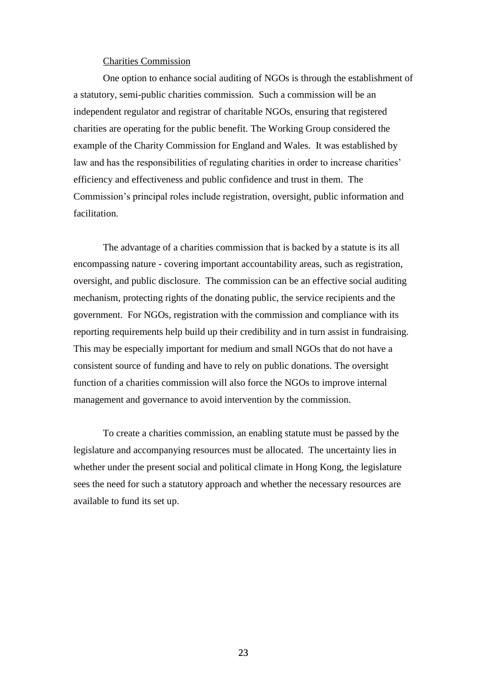#### Charities Commission

One option to enhance social auditing of NGOs is through the establishment of a statutory, semi-public charities commission. Such a commission will be an independent regulator and registrar of charitable NGOs, ensuring that registered charities are operating for the public benefit. The Working Group considered the example of the Charity Commission for England and Wales. It was established by law and has the responsibilities of regulating charities in order to increase charities' efficiency and effectiveness and public confidence and trust in them. The Commission's principal roles include registration, oversight, public information and facilitation.

The advantage of a charities commission that is backed by a statute is its all encompassing nature - covering important accountability areas, such as registration, oversight, and public disclosure. The commission can be an effective social auditing mechanism, protecting rights of the donating public, the service recipients and the government. For NGOs, registration with the commission and compliance with its reporting requirements help build up their credibility and in turn assist in fundraising. This may be especially important for medium and small NGOs that do not have a consistent source of funding and have to rely on public donations. The oversight function of a charities commission will also force the NGOs to improve internal management and governance to avoid intervention by the commission.

To create a charities commission, an enabling statute must be passed by the legislature and accompanying resources must be allocated. The uncertainty lies in whether under the present social and political climate in Hong Kong, the legislature sees the need for such a statutory approach and whether the necessary resources are available to fund its set up.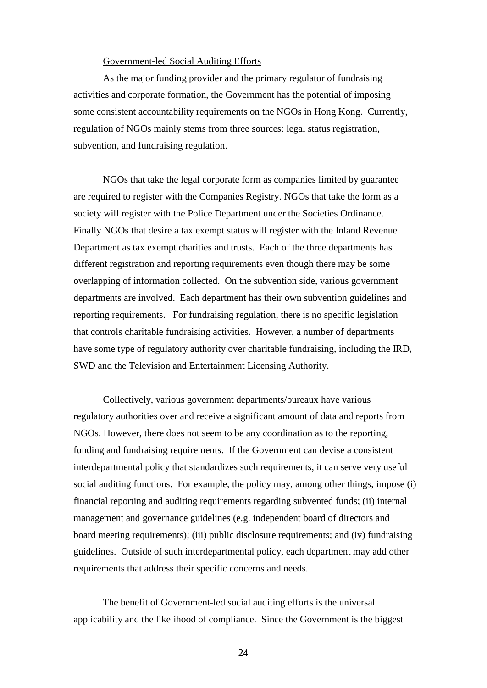#### Government-led Social Auditing Efforts

As the major funding provider and the primary regulator of fundraising activities and corporate formation, the Government has the potential of imposing some consistent accountability requirements on the NGOs in Hong Kong. Currently, regulation of NGOs mainly stems from three sources: legal status registration, subvention, and fundraising regulation.

NGOs that take the legal corporate form as companies limited by guarantee are required to register with the Companies Registry. NGOs that take the form as a society will register with the Police Department under the Societies Ordinance. Finally NGOs that desire a tax exempt status will register with the Inland Revenue Department as tax exempt charities and trusts. Each of the three departments has different registration and reporting requirements even though there may be some overlapping of information collected. On the subvention side, various government departments are involved. Each department has their own subvention guidelines and reporting requirements. For fundraising regulation, there is no specific legislation that controls charitable fundraising activities. However, a number of departments have some type of regulatory authority over charitable fundraising, including the IRD, SWD and the Television and Entertainment Licensing Authority.

Collectively, various government departments/bureaux have various regulatory authorities over and receive a significant amount of data and reports from NGOs. However, there does not seem to be any coordination as to the reporting, funding and fundraising requirements. If the Government can devise a consistent interdepartmental policy that standardizes such requirements, it can serve very useful social auditing functions. For example, the policy may, among other things, impose (i) financial reporting and auditing requirements regarding subvented funds; (ii) internal management and governance guidelines (e.g. independent board of directors and board meeting requirements); (iii) public disclosure requirements; and (iv) fundraising guidelines. Outside of such interdepartmental policy, each department may add other requirements that address their specific concerns and needs.

The benefit of Government-led social auditing efforts is the universal applicability and the likelihood of compliance. Since the Government is the biggest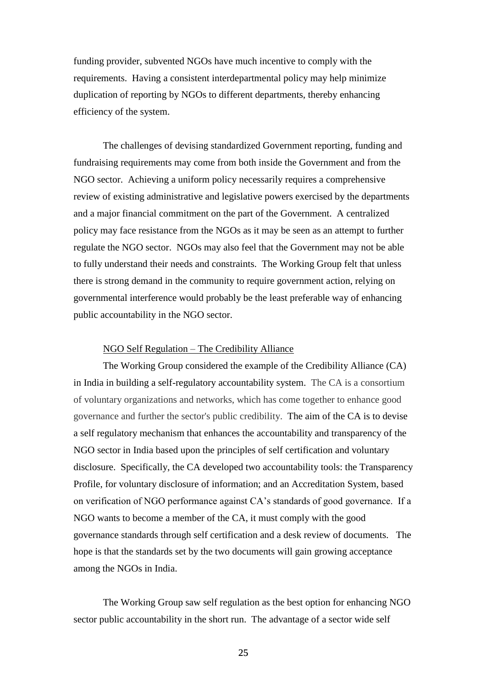funding provider, subvented NGOs have much incentive to comply with the requirements. Having a consistent interdepartmental policy may help minimize duplication of reporting by NGOs to different departments, thereby enhancing efficiency of the system.

The challenges of devising standardized Government reporting, funding and fundraising requirements may come from both inside the Government and from the NGO sector. Achieving a uniform policy necessarily requires a comprehensive review of existing administrative and legislative powers exercised by the departments and a major financial commitment on the part of the Government. A centralized policy may face resistance from the NGOs as it may be seen as an attempt to further regulate the NGO sector. NGOs may also feel that the Government may not be able to fully understand their needs and constraints. The Working Group felt that unless there is strong demand in the community to require government action, relying on governmental interference would probably be the least preferable way of enhancing public accountability in the NGO sector.

#### NGO Self Regulation – The Credibility Alliance

The Working Group considered the example of the Credibility Alliance (CA) in India in building a self-regulatory accountability system. The CA is a consortium of voluntary organizations and networks, which has come together to enhance good governance and further the sector's public credibility. The aim of the CA is to devise a self regulatory mechanism that enhances the accountability and transparency of the NGO sector in India based upon the principles of self certification and voluntary disclosure. Specifically, the CA developed two accountability tools: the Transparency Profile, for voluntary disclosure of information; and an Accreditation System, based on verification of NGO performance against CA's standards of good governance. If a NGO wants to become a member of the CA, it must comply with the good governance standards through self certification and a desk review of documents. The hope is that the standards set by the two documents will gain growing acceptance among the NGOs in India.

The Working Group saw self regulation as the best option for enhancing NGO sector public accountability in the short run. The advantage of a sector wide self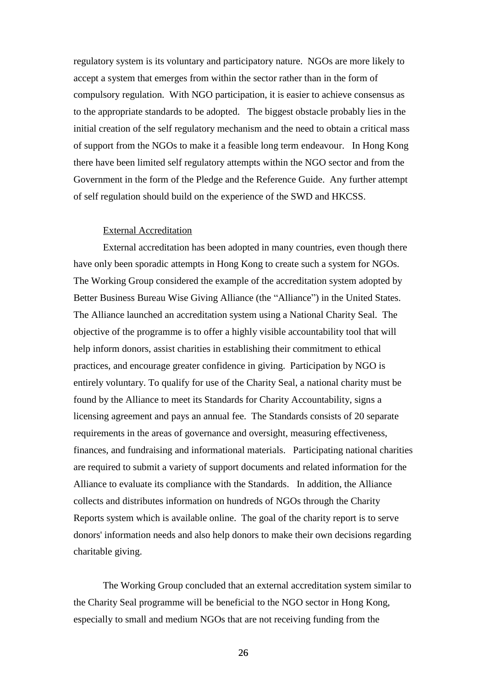regulatory system is its voluntary and participatory nature. NGOs are more likely to accept a system that emerges from within the sector rather than in the form of compulsory regulation. With NGO participation, it is easier to achieve consensus as to the appropriate standards to be adopted. The biggest obstacle probably lies in the initial creation of the self regulatory mechanism and the need to obtain a critical mass of support from the NGOs to make it a feasible long term endeavour. In Hong Kong there have been limited self regulatory attempts within the NGO sector and from the Government in the form of the Pledge and the Reference Guide. Any further attempt of self regulation should build on the experience of the SWD and HKCSS.

## External Accreditation

External accreditation has been adopted in many countries, even though there have only been sporadic attempts in Hong Kong to create such a system for NGOs. The Working Group considered the example of the accreditation system adopted by Better Business Bureau Wise Giving Alliance (the "Alliance") in the United States. The Alliance launched an accreditation system using a National Charity Seal. The objective of the programme is to offer a highly visible accountability tool that will help inform donors, assist charities in establishing their commitment to ethical practices, and encourage greater confidence in giving. Participation by NGO is entirely voluntary. To qualify for use of the Charity Seal, a national charity must be found by the Alliance to meet its Standards for Charity Accountability, signs a licensing agreement and pays an annual fee. The Standards consists of 20 separate requirements in the areas of governance and oversight, measuring effectiveness, finances, and fundraising and informational materials. Participating national charities are required to submit a variety of support documents and related information for the Alliance to evaluate its compliance with the Standards. In addition, the Alliance collects and distributes information on hundreds of NGOs through the Charity Reports system which is available online. The goal of the charity report is to serve donors' information needs and also help donors to make their own decisions regarding charitable giving.

The Working Group concluded that an external accreditation system similar to the Charity Seal programme will be beneficial to the NGO sector in Hong Kong, especially to small and medium NGOs that are not receiving funding from the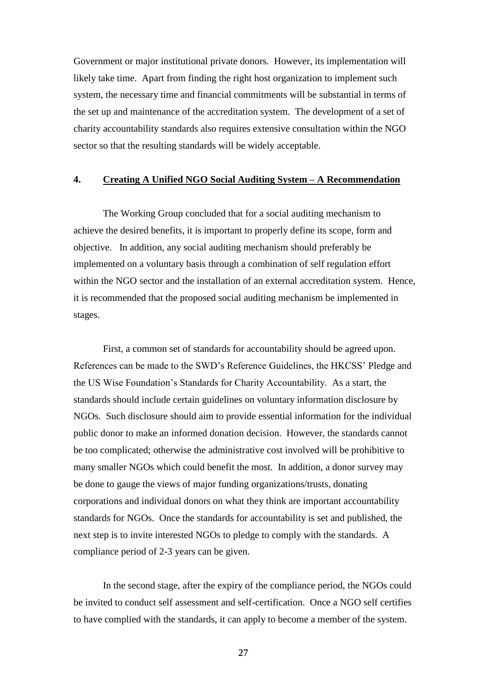Government or major institutional private donors. However, its implementation will likely take time. Apart from finding the right host organization to implement such system, the necessary time and financial commitments will be substantial in terms of the set up and maintenance of the accreditation system. The development of a set of charity accountability standards also requires extensive consultation within the NGO sector so that the resulting standards will be widely acceptable.

## <span id="page-27-0"></span>**4. Creating A Unified NGO Social Auditing System – A Recommendation**

The Working Group concluded that for a social auditing mechanism to achieve the desired benefits, it is important to properly define its scope, form and objective. In addition, any social auditing mechanism should preferably be implemented on a voluntary basis through a combination of self regulation effort within the NGO sector and the installation of an external accreditation system. Hence, it is recommended that the proposed social auditing mechanism be implemented in stages.

First, a common set of standards for accountability should be agreed upon. References can be made to the SWD's Reference Guidelines, the HKCSS' Pledge and the US Wise Foundation's Standards for Charity Accountability. As a start, the standards should include certain guidelines on voluntary information disclosure by NGOs. Such disclosure should aim to provide essential information for the individual public donor to make an informed donation decision. However, the standards cannot be too complicated; otherwise the administrative cost involved will be prohibitive to many smaller NGOs which could benefit the most. In addition, a donor survey may be done to gauge the views of major funding organizations/trusts, donating corporations and individual donors on what they think are important accountability standards for NGOs. Once the standards for accountability is set and published, the next step is to invite interested NGOs to pledge to comply with the standards. A compliance period of 2-3 years can be given.

In the second stage, after the expiry of the compliance period, the NGOs could be invited to conduct self assessment and self-certification. Once a NGO self certifies to have complied with the standards, it can apply to become a member of the system.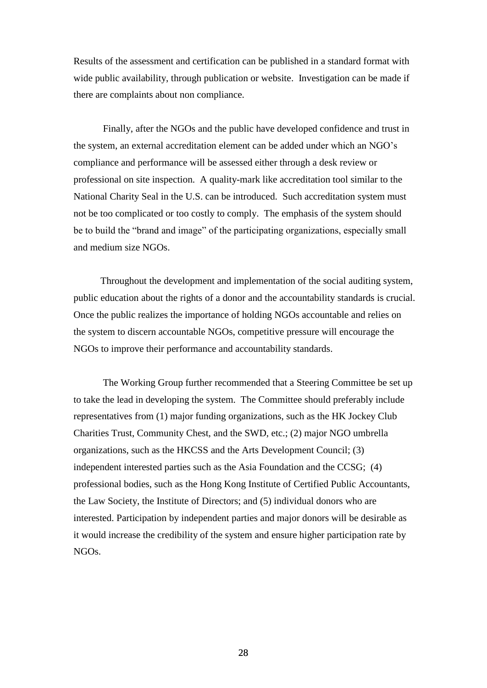Results of the assessment and certification can be published in a standard format with wide public availability, through publication or website. Investigation can be made if there are complaints about non compliance.

Finally, after the NGOs and the public have developed confidence and trust in the system, an external accreditation element can be added under which an NGO's compliance and performance will be assessed either through a desk review or professional on site inspection. A quality-mark like accreditation tool similar to the National Charity Seal in the U.S. can be introduced. Such accreditation system must not be too complicated or too costly to comply. The emphasis of the system should be to build the "brand and image" of the participating organizations, especially small and medium size NGOs.

Throughout the development and implementation of the social auditing system, public education about the rights of a donor and the accountability standards is crucial. Once the public realizes the importance of holding NGOs accountable and relies on the system to discern accountable NGOs, competitive pressure will encourage the NGOs to improve their performance and accountability standards.

The Working Group further recommended that a Steering Committee be set up to take the lead in developing the system. The Committee should preferably include representatives from (1) major funding organizations, such as the HK Jockey Club Charities Trust, Community Chest, and the SWD, etc.; (2) major NGO umbrella organizations, such as the HKCSS and the Arts Development Council; (3) independent interested parties such as the Asia Foundation and the CCSG; (4) professional bodies, such as the Hong Kong Institute of Certified Public Accountants, the Law Society, the Institute of Directors; and (5) individual donors who are interested. Participation by independent parties and major donors will be desirable as it would increase the credibility of the system and ensure higher participation rate by NGOs.